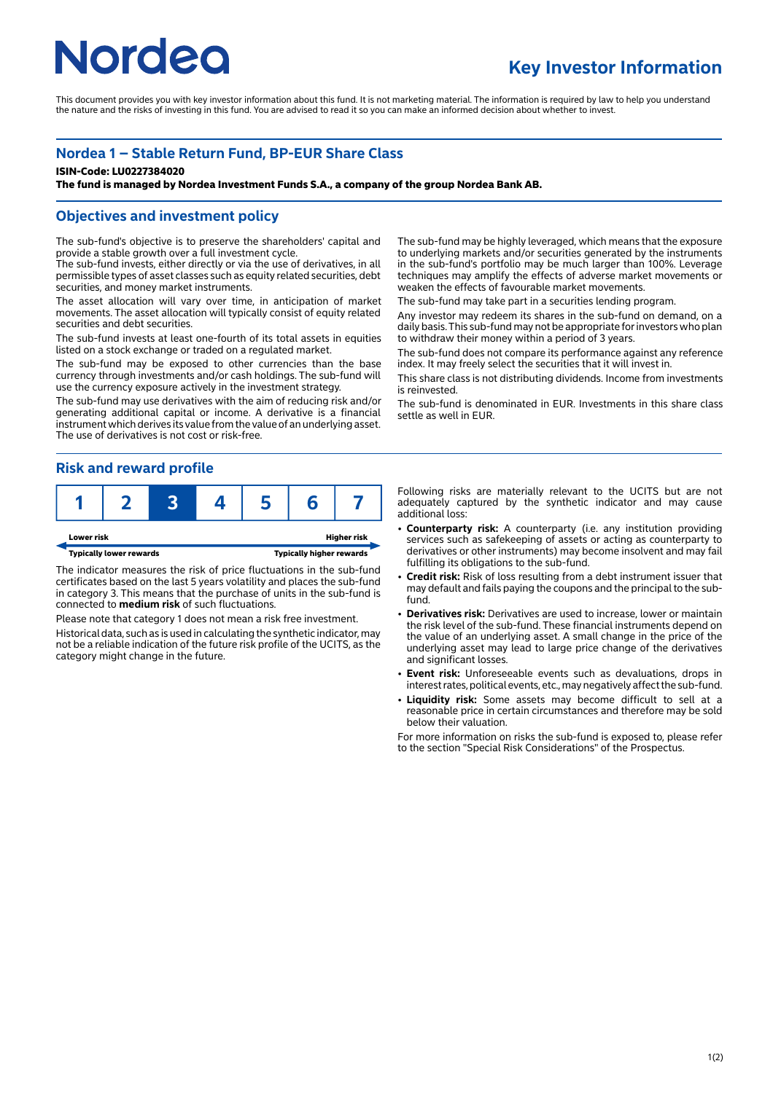# **Nordeo**

# **Key Investor Information**

This document provides you with key investor information about this fund. It is not marketing material. The information is required by law to help you understand the nature and the risks of investing in this fund. You are advised to read it so you can make an informed decision about whether to invest.

### **Nordea 1 – Stable Return Fund, BP-EUR Share Class**

#### **ISIN-Code: LU0227384020**

**The fund is managed by Nordea Investment Funds S.A., a company of the group Nordea Bank AB.**

#### **Objectives and investment policy**

The sub-fund's objective is to preserve the shareholders' capital and provide a stable growth over a full investment cycle.

The sub-fund invests, either directly or via the use of derivatives, in all permissible types of asset classes such as equity related securities, debt securities, and money market instruments.

The asset allocation will vary over time, in anticipation of market movements. The asset allocation will typically consist of equity related securities and debt securities.

The sub-fund invests at least one-fourth of its total assets in equities listed on a stock exchange or traded on a regulated market.

The sub-fund may be exposed to other currencies than the base currency through investments and/or cash holdings. The sub-fund will use the currency exposure actively in the investment strategy.

The sub-fund may use derivatives with the aim of reducing risk and/or generating additional capital or income. A derivative is a financial instrument which derives its value from the value of an underlying asset. The use of derivatives is not cost or risk-free.

#### **Risk and reward profile**





The indicator measures the risk of price fluctuations in the sub-fund certificates based on the last 5 years volatility and places the sub-fund in category 3. This means that the purchase of units in the sub-fund is connected to **medium risk** of such fluctuations.

Please note that category 1 does not mean a risk free investment. Historical data, such as is used in calculating the synthetic indicator, may not be a reliable indication of the future risk profile of the UCITS, as the category might change in the future.

The sub-fund may be highly leveraged, which means that the exposure to underlying markets and/or securities generated by the instruments in the sub-fund's portfolio may be much larger than 100%. Leverage techniques may amplify the effects of adverse market movements or weaken the effects of favourable market movements.

The sub-fund may take part in a securities lending program.

Any investor may redeem its shares in the sub-fund on demand, on a daily basis. This sub-fund may not be appropriate for investors who plan to withdraw their money within a period of 3 years.

The sub-fund does not compare its performance against any reference index. It may freely select the securities that it will invest in.

This share class is not distributing dividends. Income from investments is reinvested.

The sub-fund is denominated in EUR. Investments in this share class settle as well in EUR.

Following risks are materially relevant to the UCITS but are not adequately captured by the synthetic indicator and may cause additional loss:

- **Counterparty risk:** A counterparty (i.e. any institution providing services such as safekeeping of assets or acting as counterparty to derivatives or other instruments) may become insolvent and may fail fulfilling its obligations to the sub-fund.
- 2 **Credit risk:** Risk of loss resulting from a debt instrument issuer that may default and fails paying the coupons and the principal to the subfund.
- **Derivatives risk:** Derivatives are used to increase, lower or maintain the risk level of the sub-fund. These financial instruments depend on the value of an underlying asset. A small change in the price of the underlying asset may lead to large price change of the derivatives and significant losses.
- 2 **Event risk:** Unforeseeable events such as devaluations, drops in interest rates, political events, etc., may negatively affect the sub-fund.
- Liquidity risk: Some assets may become difficult to sell at a reasonable price in certain circumstances and therefore may be sold below their valuation.

For more information on risks the sub-fund is exposed to, please refer to the section "Special Risk Considerations" of the Prospectus.